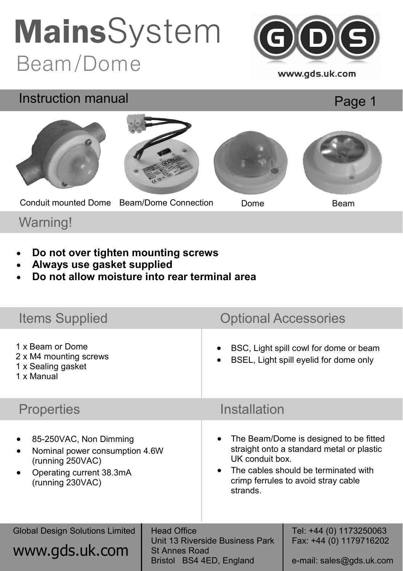### Beam/Dome **Mains**System



www.gds.uk.com

## Page 1 Instruction manual Conduit mounted Dome Beam/Dome Connection Dome Beam

#### Warning!

- **Do not over tighten mounting screws**
- **Always use gasket supplied**
- **Do not allow moisture into rear terminal area**

| <b>Items Supplied</b>                                                                                                        |                                                                                                           | <b>Optional Accessories</b>                                                                                                                                                                                    |                                                                                |
|------------------------------------------------------------------------------------------------------------------------------|-----------------------------------------------------------------------------------------------------------|----------------------------------------------------------------------------------------------------------------------------------------------------------------------------------------------------------------|--------------------------------------------------------------------------------|
| 1 x Beam or Dome<br>2 x M4 mounting screws<br>1 x Sealing gasket<br>1 x Manual                                               |                                                                                                           | BSC, Light spill cowl for dome or beam<br>BSEL, Light spill eyelid for dome only                                                                                                                               |                                                                                |
| <b>Properties</b>                                                                                                            |                                                                                                           | Installation                                                                                                                                                                                                   |                                                                                |
| 85-250VAC, Non Dimming<br>Nominal power consumption 4.6W<br>(running 250VAC)<br>Operating current 38.3mA<br>(running 230VAC) |                                                                                                           | The Beam/Dome is designed to be fitted<br>straight onto a standard metal or plastic<br>UK conduit box.<br>The cables should be terminated with<br>$\bullet$<br>crimp ferrules to avoid stray cable<br>strands. |                                                                                |
| <b>Global Design Solutions Limited</b><br>www.gds.uk.com                                                                     | <b>Head Office</b><br>Unit 13 Riverside Business Park<br><b>St Annes Road</b><br>Bristol BS4 4ED, England |                                                                                                                                                                                                                | Tel: +44 (0) 1173250063<br>Fax: +44 (0) 1179716202<br>e-mail: sales@gds.uk.com |